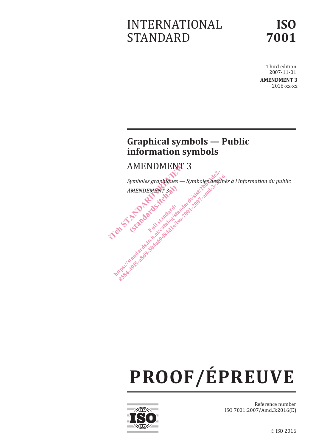## INTERNATIONAL STANDARD

# **ISO 7001**

Third edition 2007-11-01

**AMENDMENT 3** 2016-xx-xx

## **Graphical symbols — Public information symbols**

AMENDMENT 3

*Symboles graphiques — Symboles destinés à l'information du public AMENDEMENT 3* AMENDMENT 3<br>Symboles graphiques - Sym<br>AMENDEMENT 3.3.1 EXPLOSIVE MERIDEN Symboles graphiques - Symboles destin<br>AMENDEMENT 3.3.<br>AMENDEMENT 3.3.<br>2015 - Catalogic - Kent desired and 2007-american<br>2015 - Catalogic and Catalogic and 2007-american

# **PROOF/ÉPREUVE**



Reference number ISO 7001:2007/Amd.3:2016(E)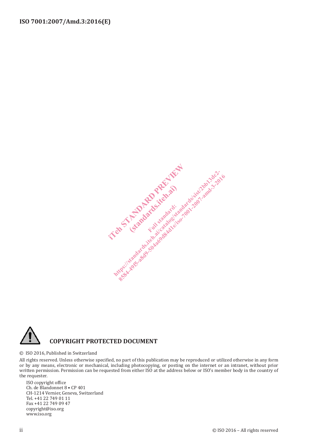



#### © ISO 2016, Published in Switzerland

All rights reserved. Unless otherwise specified, no part of this publication may be reproduced or utilized otherwise in any form or by any means, electronic or mechanical, including photocopying, or posting on the internet or an intranet, without prior written permission. Permission can be requested from either ISO at the address below or ISO's member body in the country of the requester.

ISO copyright office Ch. de Blandonnet 8 • CP 401 CH-1214 Vernier, Geneva, Switzerland Tel. +41 22 749 01 11 Fax +41 22 749 09 47 copyright@iso.org www.iso.org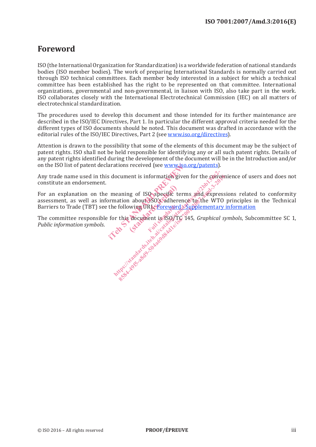#### **Foreword**

ISO (the International Organization for Standardization) is a worldwide federation of national standards bodies (ISO member bodies). The work of preparing International Standards is normally carried out through ISO technical committees. Each member body interested in a subject for which a technical committee has been established has the right to be represented on that committee. International organizations, governmental and non-governmental, in liaison with ISO, also take part in the work. ISO collaborates closely with the International Electrotechnical Commission (IEC) on all matters of electrotechnical standardization.

The procedures used to develop this document and those intended for its further maintenance are described in the ISO/IEC Directives, Part 1. In particular the different approval criteria needed for the different types of ISO documents should be noted. This document was drafted in accordance with the editorial rules of the ISO/IEC Directives, Part 2 (see www.iso.org/directives).

Attention is drawn to the possibility that some of the elements of this document may be the subject of patent rights. ISO shall not be held responsible for identifying any or all such patent rights. Details of any patent rights identified during the development of the document will be in the Introduction and/or on the ISO list of patent declarations received (see www.iso.org/patents).

Any trade name used in this document is information given for the convenience of users and does not constitute an endorsement.

For an explanation on the meaning of ISO specific terms and expressions related to conformity assessment, as well as information about ISO's adherence to the WTO principles in the Technical Barriers to Trade (TBT) see the following URL: Foreword & Supplementary information arations received (see www.iso.org<br>
s document is information given for<br>
meaning of ISO specific terms<br>
ormation about ISO's adherence to<br>
the following URL Forewords Sup<br>
for this document is ISO/TG 145, External of ISO specific to about ISO's adhere hocument is information given for the convenience to the convenience mation about HSO's adherence to the WTO<br>mation about HSO's adherence to the WTO<br>e following URL Forewords Supplementary<br>or this document is SQ/TG 145, Gr

The committee responsible for this document is ISO/TC 145, *Graphical symbols*, Subcommittee SC 1, *Public information symbols*.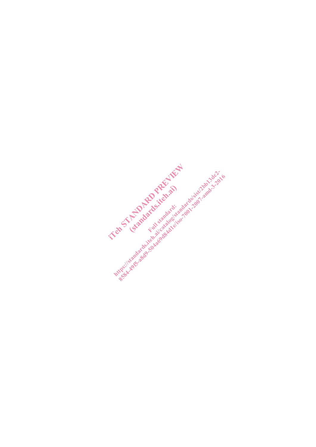in Standard Preview individual (Standards.iteh.ai) ht ps:/ standards.iteh.ai/catalog/standards/sist/2bb13dc2- [8584-49f5-a8d9-504a69d84d1e/iso-7001-2007-amd-3-2016](��F����=2�V�}}+��)q���<�*�R�:�� r5&x����l*���:������imz8�D$���jkZ��J7�r~N&%ծ���9�q�
�l�dF)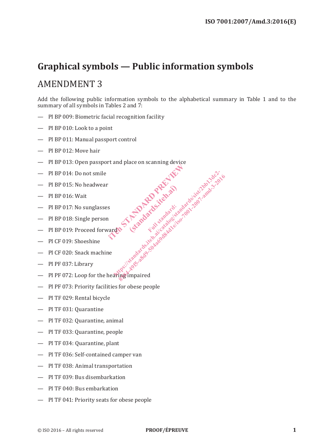## **Graphical symbols — Public information symbols**

### AMENDMENT 3

Add the following public information symbols to the alphabetical summary in Table 1 and to the summary of all symbols in Tables 2 and 7:

(Standards.iteh.ai)

- PI BP 009: Biometric facial recognition facility
- PI BP 010: Look to a point
- PI BP 011: Manual passport control
- PI BP 012: Move hair
- PI BP 013: Open passport and place on scanning device ing the Standard Previous standard Previous
- PI BP 014: Do not smile
- PI BP 015: No headwear
- PI BP 016: Wait
- PI BP 017: No sunglasses
- PI BP 018: Single person
- PI BP 019: Proceed forward
- PI CF 019: Shoeshine
- PI CF 020: Snack machine
- PI PF 037: Library
- PI PF 072: Loop for the hearing impaired ht ps:/ standards.iteh.ai/catalog/standards/sist/2bb13dc2- [8584-49f5-a8d9-504a69d84d1e/iso-7001-2007-amd-3-2016]("���`�̫O1�� v�=�䡶E����9�ݼ��K�:T��`�?���&��0�T�v�����0����KE��"!��c�� �<�c���l5��/���J��jI��n�)
- PI PF 073: Priority facilities for obese people
- PI TF 029: Rental bicycle
- PI TF 031: Quarantine
- PI TF 032: Quarantine, animal
- PI TF 033: Quarantine, people
- PI TF 034: Quarantine, plant
- PI TF 036: Self-contained camper van
- PI TF 038: Animal transportation
- PI TF 039: Bus disembarkation
- PI TF 040: Bus embarkation
- PI TF 041: Priority seats for obese people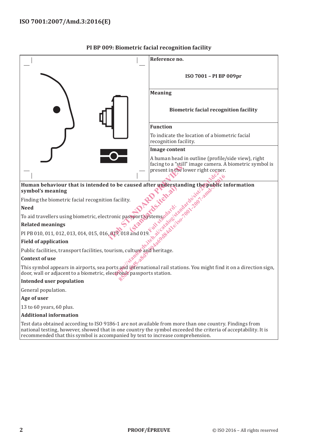#### **PI BP 009: Biometric facial recognition facility**

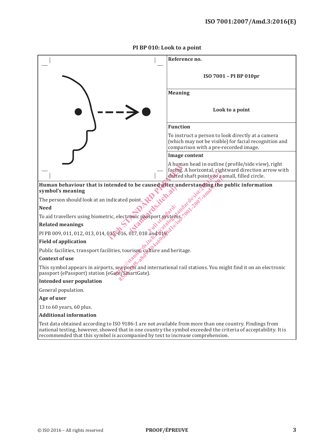#### **ISO 7001:2007/Amd.3:2016(E)**

#### **PI BP 010: Look to a point**

|                                                                                                                                                                                                                                                                                                            | Reference no.                                                                                                                                                |  |
|------------------------------------------------------------------------------------------------------------------------------------------------------------------------------------------------------------------------------------------------------------------------------------------------------------|--------------------------------------------------------------------------------------------------------------------------------------------------------------|--|
|                                                                                                                                                                                                                                                                                                            | ISO 7001 - PI BP 010pr                                                                                                                                       |  |
|                                                                                                                                                                                                                                                                                                            | <b>Meaning</b>                                                                                                                                               |  |
|                                                                                                                                                                                                                                                                                                            | Look to a point                                                                                                                                              |  |
|                                                                                                                                                                                                                                                                                                            |                                                                                                                                                              |  |
|                                                                                                                                                                                                                                                                                                            | <b>Function</b>                                                                                                                                              |  |
|                                                                                                                                                                                                                                                                                                            | To instruct a person to look directly at a camera<br>(which may not be visible) for facial recognition and<br>comparison with a pre-recorded image.          |  |
|                                                                                                                                                                                                                                                                                                            | <b>Image content</b>                                                                                                                                         |  |
|                                                                                                                                                                                                                                                                                                            | A human head in outline (profile/side view), right<br>facing. A horizontal, rightward direction arrow with<br>dotted shaft points to a small, filled circle. |  |
| Human behaviour that is intended to be caused after understanding the public information                                                                                                                                                                                                                   |                                                                                                                                                              |  |
|                                                                                                                                                                                                                                                                                                            |                                                                                                                                                              |  |
|                                                                                                                                                                                                                                                                                                            |                                                                                                                                                              |  |
| To aid travellers using biometric, electronic passport systems, 2012 and                                                                                                                                                                                                                                   |                                                                                                                                                              |  |
|                                                                                                                                                                                                                                                                                                            |                                                                                                                                                              |  |
| PI PB 009, 011, 012, 013, 014, 015, 016, 017, 018 and 019, 01                                                                                                                                                                                                                                              |                                                                                                                                                              |  |
| <b>Field of application</b>                                                                                                                                                                                                                                                                                |                                                                                                                                                              |  |
| Public facilities, transport facilities, tourism, culture and heritage.                                                                                                                                                                                                                                    |                                                                                                                                                              |  |
| <b>Context of use</b>                                                                                                                                                                                                                                                                                      |                                                                                                                                                              |  |
| This symbol appears in airports, sea-ports and international rail stations. You might find it on an electronic<br>passport (ePassport) station (eGate/SmartGate).                                                                                                                                          |                                                                                                                                                              |  |
| <b>Intended user population</b>                                                                                                                                                                                                                                                                            |                                                                                                                                                              |  |
| General population.                                                                                                                                                                                                                                                                                        |                                                                                                                                                              |  |
| Age of user                                                                                                                                                                                                                                                                                                |                                                                                                                                                              |  |
| 13 to 60 years, 60 plus.                                                                                                                                                                                                                                                                                   |                                                                                                                                                              |  |
| <b>Additional information</b>                                                                                                                                                                                                                                                                              |                                                                                                                                                              |  |
| Test data obtained according to ISO 9186-1 are not available from more than one country. Findings from<br>national testing, however, showed that in one country the symbol exceeded the criteria of acceptability. It is<br>recommended that this symbol is accompanied by text to increase comprehension. |                                                                                                                                                              |  |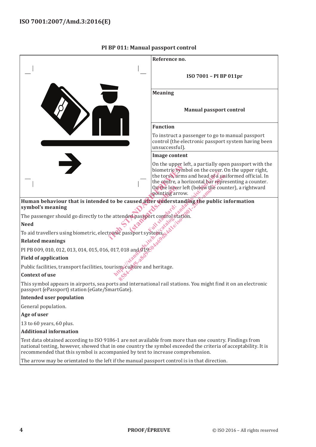|                                                                                                                                                                                                                                                                                                            | Reference no.                                                                                                                                                                                                                                                                                        |  |
|------------------------------------------------------------------------------------------------------------------------------------------------------------------------------------------------------------------------------------------------------------------------------------------------------------|------------------------------------------------------------------------------------------------------------------------------------------------------------------------------------------------------------------------------------------------------------------------------------------------------|--|
|                                                                                                                                                                                                                                                                                                            | ISO 7001 - PI BP 011pr                                                                                                                                                                                                                                                                               |  |
|                                                                                                                                                                                                                                                                                                            | <b>Meaning</b>                                                                                                                                                                                                                                                                                       |  |
|                                                                                                                                                                                                                                                                                                            | <b>Manual passport control</b>                                                                                                                                                                                                                                                                       |  |
|                                                                                                                                                                                                                                                                                                            | <b>Function</b>                                                                                                                                                                                                                                                                                      |  |
|                                                                                                                                                                                                                                                                                                            | To instruct a passenger to go to manual passport<br>control (the electronic passport system having been<br>unsuccessful).                                                                                                                                                                            |  |
|                                                                                                                                                                                                                                                                                                            | <b>Image content</b>                                                                                                                                                                                                                                                                                 |  |
|                                                                                                                                                                                                                                                                                                            | On the upper left, a partially open passport with the<br>biometric symbol on the cover. On the upper right,<br>the torso, arms and head of a uniformed official. In<br>the centre, a horizontal bar representing a counter.<br>On the lower left (below the counter), a rightward<br>pointing arrow. |  |
| Human behaviour that is intended to be caused after understanding the public information                                                                                                                                                                                                                   |                                                                                                                                                                                                                                                                                                      |  |
| symbol's meaning                                                                                                                                                                                                                                                                                           |                                                                                                                                                                                                                                                                                                      |  |
| The passenger should go directly to the attended passport control station.                                                                                                                                                                                                                                 |                                                                                                                                                                                                                                                                                                      |  |
| <b>Need</b>                                                                                                                                                                                                                                                                                                |                                                                                                                                                                                                                                                                                                      |  |
| To aid travellers using biometric, electronic passport systems                                                                                                                                                                                                                                             |                                                                                                                                                                                                                                                                                                      |  |
| PI PB 009, 010, 012, 013, 014, 015, 016, 017, 018 and 019.000                                                                                                                                                                                                                                              |                                                                                                                                                                                                                                                                                                      |  |
|                                                                                                                                                                                                                                                                                                            |                                                                                                                                                                                                                                                                                                      |  |
|                                                                                                                                                                                                                                                                                                            |                                                                                                                                                                                                                                                                                                      |  |
| Public facilities, transport facilities, tourism, culture and heritage.                                                                                                                                                                                                                                    |                                                                                                                                                                                                                                                                                                      |  |
| <b>Context of use</b><br>This symbol appears in airports, sea ports and international rail stations. You might find it on an electronic<br>passport (ePassport) station (eGate/SmartGate).                                                                                                                 |                                                                                                                                                                                                                                                                                                      |  |
| <b>Intended user population</b>                                                                                                                                                                                                                                                                            |                                                                                                                                                                                                                                                                                                      |  |
| General population.                                                                                                                                                                                                                                                                                        |                                                                                                                                                                                                                                                                                                      |  |
| Age of user                                                                                                                                                                                                                                                                                                |                                                                                                                                                                                                                                                                                                      |  |
| 13 to 60 years, 60 plus.                                                                                                                                                                                                                                                                                   |                                                                                                                                                                                                                                                                                                      |  |
| <b>Additional information</b>                                                                                                                                                                                                                                                                              |                                                                                                                                                                                                                                                                                                      |  |
| Test data obtained according to ISO 9186-1 are not available from more than one country. Findings from<br>national testing, however, showed that in one country the symbol exceeded the criteria of acceptability. It is<br>recommended that this symbol is accompanied by text to increase comprehension. |                                                                                                                                                                                                                                                                                                      |  |
| The arrow may be orientated to the left if the manual passport control is in that direction.                                                                                                                                                                                                               |                                                                                                                                                                                                                                                                                                      |  |
|                                                                                                                                                                                                                                                                                                            |                                                                                                                                                                                                                                                                                                      |  |

#### **PI BP 011: Manual passport control**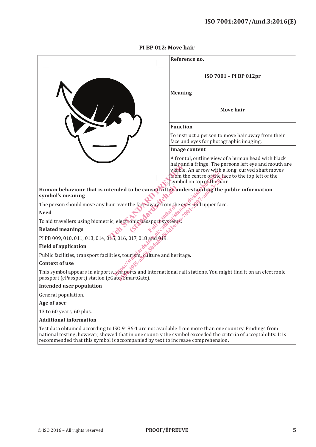#### **ISO 7001:2007/Amd.3:2016(E)**

**PI BP 012: Move hair**

|                                                                                                                                                                                                                                                                                                            | Reference no.                                                                                                                                                                                                                                        |  |
|------------------------------------------------------------------------------------------------------------------------------------------------------------------------------------------------------------------------------------------------------------------------------------------------------------|------------------------------------------------------------------------------------------------------------------------------------------------------------------------------------------------------------------------------------------------------|--|
|                                                                                                                                                                                                                                                                                                            | ISO 7001 - PI BP 012pr                                                                                                                                                                                                                               |  |
|                                                                                                                                                                                                                                                                                                            | <b>Meaning</b>                                                                                                                                                                                                                                       |  |
|                                                                                                                                                                                                                                                                                                            | <b>Move hair</b>                                                                                                                                                                                                                                     |  |
|                                                                                                                                                                                                                                                                                                            | <b>Function</b>                                                                                                                                                                                                                                      |  |
|                                                                                                                                                                                                                                                                                                            | To instruct a person to move hair away from their<br>face and eyes for photographic imaging.                                                                                                                                                         |  |
|                                                                                                                                                                                                                                                                                                            | <b>Image content</b>                                                                                                                                                                                                                                 |  |
|                                                                                                                                                                                                                                                                                                            | A frontal, outline view of a human head with black<br>hair and a fringe. The persons left eye and mouth are<br>visible. An arrow with a long, curved shaft moves<br>from the centre of the face to the top left of the<br>symbol on top of the hair. |  |
| Human behaviour that is intended to be caused after understanding the public information                                                                                                                                                                                                                   |                                                                                                                                                                                                                                                      |  |
| symbol's meaning                                                                                                                                                                                                                                                                                           |                                                                                                                                                                                                                                                      |  |
| The person should move any hair over the face away from the eyes and upper face.                                                                                                                                                                                                                           |                                                                                                                                                                                                                                                      |  |
| <b>Need</b>                                                                                                                                                                                                                                                                                                |                                                                                                                                                                                                                                                      |  |
| To aid travellers using biometric, electronic passport systems!                                                                                                                                                                                                                                            |                                                                                                                                                                                                                                                      |  |
| <b>Related meanings</b>                                                                                                                                                                                                                                                                                    |                                                                                                                                                                                                                                                      |  |
| PI PB 009, 010, 011, 013, 014, 015, 016, 017, 018 and 019.                                                                                                                                                                                                                                                 |                                                                                                                                                                                                                                                      |  |
| <b>Field of application</b>                                                                                                                                                                                                                                                                                |                                                                                                                                                                                                                                                      |  |
| Public facilities, transport facilities, tourism, culture and heritage.<br><b>Context of use</b>                                                                                                                                                                                                           |                                                                                                                                                                                                                                                      |  |
| This symbol appears in airports, sea ports and international rail stations. You might find it on an electronic<br>passport (ePassport) station (eGate/SmartGate).                                                                                                                                          |                                                                                                                                                                                                                                                      |  |
| <b>Intended user population</b>                                                                                                                                                                                                                                                                            |                                                                                                                                                                                                                                                      |  |
| General population.                                                                                                                                                                                                                                                                                        |                                                                                                                                                                                                                                                      |  |
| Age of user                                                                                                                                                                                                                                                                                                |                                                                                                                                                                                                                                                      |  |
| 13 to 60 years, 60 plus.                                                                                                                                                                                                                                                                                   |                                                                                                                                                                                                                                                      |  |
| <b>Additional information</b>                                                                                                                                                                                                                                                                              |                                                                                                                                                                                                                                                      |  |
| Test data obtained according to ISO 9186-1 are not available from more than one country. Findings from<br>national testing, however, showed that in one country the symbol exceeded the criteria of acceptability. It is<br>recommended that this symbol is accompanied by text to increase comprehension. |                                                                                                                                                                                                                                                      |  |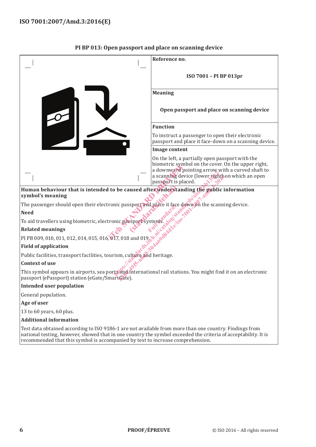#### **Reference no. ISO 7001 – PI BP 013pr Meaning Open passport and place on scanning device Function** To instruct a passenger to open their electronic passport and place it face-down on a scanning device. **Image content** On the left, a partially open passport with the biometric symbol on the cover. On the upper right, a downward pointing arrow with a curved shaft to a scanning device (lower right) on which an open<br>passport is placed. passport is placed. **Human behaviour that is intended to be caused after understanding the public information symbol's meaning** The passenger should open their electronic passport and place it face down on the scanning device. **Need** To aid travellers using biometric, electronic passport systems **Related meanings** PI PB 009, 010, 011, 012, 014, 015, 016, 017, 018 and 019. **Field of application** Public facilities, transport facilities, tourism, culture and heritage. **Context of use** This symbol appears in airports, sea ports and international rail stations. You might find it on an electronic passport (ePassport) station (eGate/SmartGate). **Intended user population** General population. **Age of user** 13 to 60 years, 60 plus. **Additional information** Test data obtained according to ISO 9186-1 are not available from more than one country. Findings from national testing, however, showed that in one country the symbol exceeded the criteria of acceptability. It is recommended that this symbol is accompanied by text to increase comprehension. is the caused afterwater and place it face downs<br>tronic passport and place it face downs<br>tronic passport and place it face downs<br>tronic passport systems. used after understa Extends to determine a scanning device (lower right)<br>
b be caused after understanding the public<br>
nic passport and place it face down on the scann<br>
onic passport and place it face down on the scann<br>
onic passport systems?<br>
And the scanner of t a scanning device (lower right)<br>
be caused after understanding the public is<br>
c passport and place it face down on the scanning<br>
ic passport systems, and of state is the scanning<br>
ic passport systems, and of state is a pro

#### **PI BP 013: Open passport and place on scanning device**